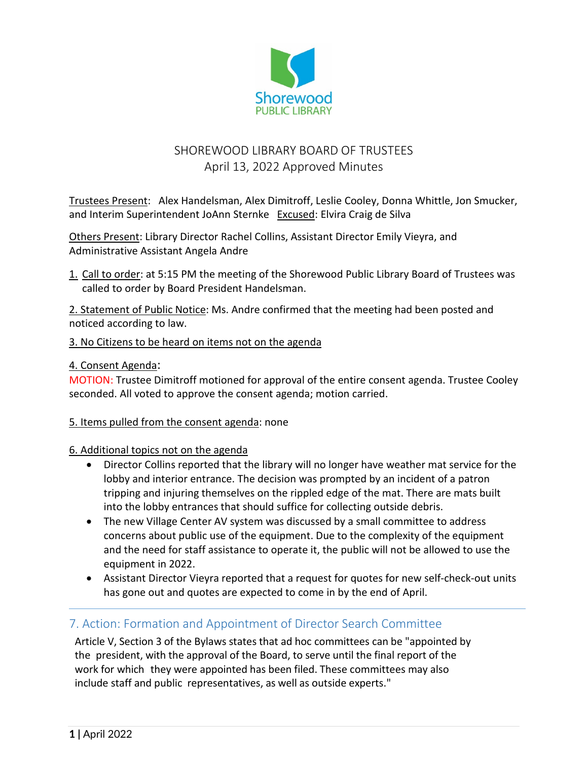

# SHOREWOOD LIBRARY BOARD OF TRUSTEES April 13, 2022 Approved Minutes

Trustees Present: Alex Handelsman, Alex Dimitroff, Leslie Cooley, Donna Whittle, Jon Smucker, and Interim Superintendent JoAnn Sternke Excused: Elvira Craig de Silva

Others Present: Library Director Rachel Collins, Assistant Director Emily Vieyra, and Administrative Assistant Angela Andre

1. Call to order: at 5:15 PM the meeting of the Shorewood Public Library Board of Trustees was called to order by Board President Handelsman.

2. Statement of Public Notice: Ms. Andre confirmed that the meeting had been posted and noticed according to law.

#### 3. No Citizens to be heard on items not on the agenda

#### 4. Consent Agenda:

MOTION: Trustee Dimitroff motioned for approval of the entire consent agenda. Trustee Cooley seconded. All voted to approve the consent agenda; motion carried.

#### 5. Items pulled from the consent agenda: none

#### 6. Additional topics not on the agenda

- Director Collins reported that the library will no longer have weather mat service for the lobby and interior entrance. The decision was prompted by an incident of a patron tripping and injuring themselves on the rippled edge of the mat. There are mats built into the lobby entrances that should suffice for collecting outside debris.
- The new Village Center AV system was discussed by a small committee to address concerns about public use of the equipment. Due to the complexity of the equipment and the need for staff assistance to operate it, the public will not be allowed to use the equipment in 2022.
- Assistant Director Vieyra reported that a request for quotes for new self-check-out units has gone out and quotes are expected to come in by the end of April.

#### 7. Action: Formation and Appointment of Director Search Committee

Article V, Section 3 of the Bylaws states that ad hoc committees can be "appointed by the president, with the approval of the Board, to serve until the final report of the work for which they were appointed has been filed. These committees may also include staff and public representatives, as well as outside experts."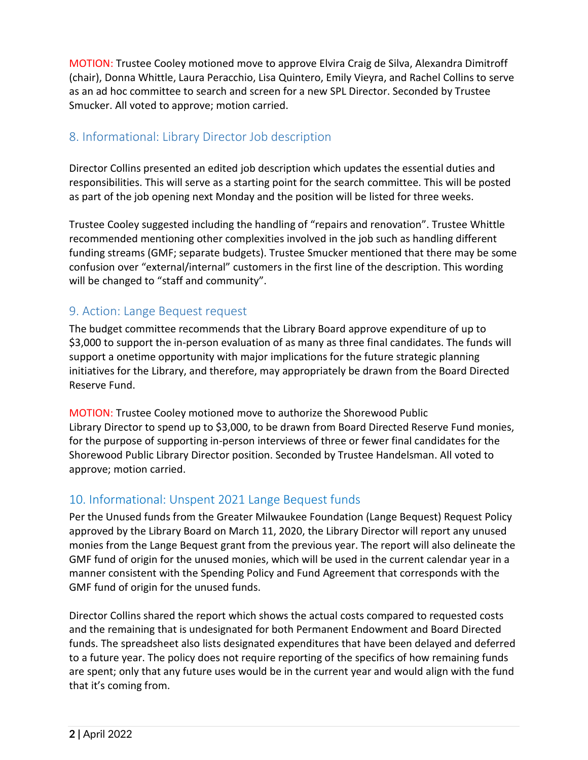MOTION: Trustee Cooley motioned move to approve Elvira Craig de Silva, Alexandra Dimitroff (chair), Donna Whittle, Laura Peracchio, Lisa Quintero, Emily Vieyra, and Rachel Collins to serve as an ad hoc committee to search and screen for a new SPL Director. Seconded by Trustee Smucker. All voted to approve; motion carried.

#### 8. Informational: Library Director Job description

Director Collins presented an edited job description which updates the essential duties and responsibilities. This will serve as a starting point for the search committee. This will be posted as part of the job opening next Monday and the position will be listed for three weeks.

Trustee Cooley suggested including the handling of "repairs and renovation". Trustee Whittle recommended mentioning other complexities involved in the job such as handling different funding streams (GMF; separate budgets). Trustee Smucker mentioned that there may be some confusion over "external/internal" customers in the first line of the description. This wording will be changed to "staff and community".

## 9. Action: Lange Bequest request

The budget committee recommends that the Library Board approve expenditure of up to \$3,000 to support the in-person evaluation of as many as three final candidates. The funds will support a onetime opportunity with major implications for the future strategic planning initiatives for the Library, and therefore, may appropriately be drawn from the Board Directed Reserve Fund.

MOTION: Trustee Cooley motioned move to authorize the Shorewood Public Library Director to spend up to \$3,000, to be drawn from Board Directed Reserve Fund monies, for the purpose of supporting in-person interviews of three or fewer final candidates for the Shorewood Public Library Director position. Seconded by Trustee Handelsman. All voted to approve; motion carried.

# 10. Informational: Unspent 2021 Lange Bequest funds

Per the Unused funds from the Greater Milwaukee Foundation (Lange Bequest) Request Policy approved by the Library Board on March 11, 2020, the Library Director will report any unused monies from the Lange Bequest grant from the previous year. The report will also delineate the GMF fund of origin for the unused monies, which will be used in the current calendar year in a manner consistent with the Spending Policy and Fund Agreement that corresponds with the GMF fund of origin for the unused funds.

Director Collins shared the report which shows the actual costs compared to requested costs and the remaining that is undesignated for both Permanent Endowment and Board Directed funds. The spreadsheet also lists designated expenditures that have been delayed and deferred to a future year. The policy does not require reporting of the specifics of how remaining funds are spent; only that any future uses would be in the current year and would align with the fund that it's coming from.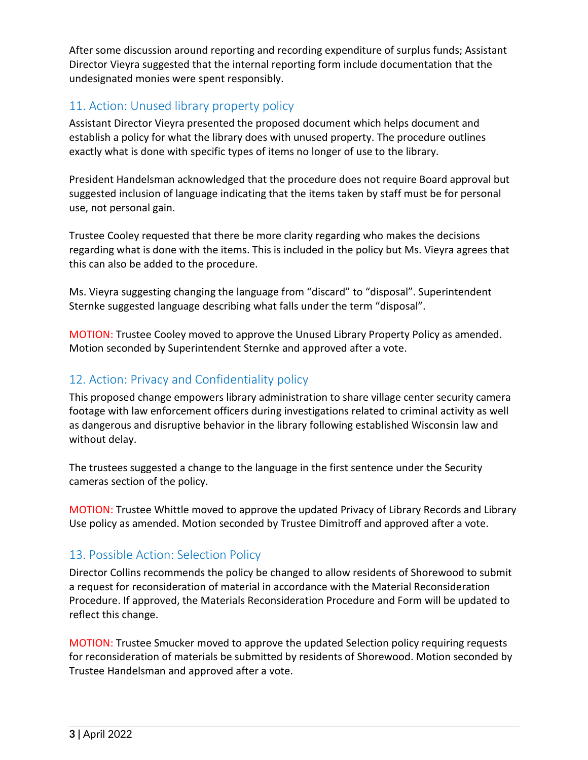After some discussion around reporting and recording expenditure of surplus funds; Assistant Director Vieyra suggested that the internal reporting form include documentation that the undesignated monies were spent responsibly.

#### 11. Action: Unused library property policy

Assistant Director Vieyra presented the proposed document which helps document and establish a policy for what the library does with unused property. The procedure outlines exactly what is done with specific types of items no longer of use to the library.

President Handelsman acknowledged that the procedure does not require Board approval but suggested inclusion of language indicating that the items taken by staff must be for personal use, not personal gain.

Trustee Cooley requested that there be more clarity regarding who makes the decisions regarding what is done with the items. This is included in the policy but Ms. Vieyra agrees that this can also be added to the procedure.

Ms. Vieyra suggesting changing the language from "discard" to "disposal". Superintendent Sternke suggested language describing what falls under the term "disposal".

MOTION: Trustee Cooley moved to approve the Unused Library Property Policy as amended. Motion seconded by Superintendent Sternke and approved after a vote.

### 12. Action: Privacy and Confidentiality policy

This proposed change empowers library administration to share village center security camera footage with law enforcement officers during investigations related to criminal activity as well as dangerous and disruptive behavior in the library following established Wisconsin law and without delay.

The trustees suggested a change to the language in the first sentence under the Security cameras section of the policy.

MOTION: Trustee Whittle moved to approve the updated Privacy of Library Records and Library Use policy as amended. Motion seconded by Trustee Dimitroff and approved after a vote.

#### 13. Possible Action: Selection Policy

Director Collins recommends the policy be changed to allow residents of Shorewood to submit a request for reconsideration of material in accordance with the Material Reconsideration Procedure. If approved, the Materials Reconsideration Procedure and Form will be updated to reflect this change.

MOTION: Trustee Smucker moved to approve the updated Selection policy requiring requests for reconsideration of materials be submitted by residents of Shorewood. Motion seconded by Trustee Handelsman and approved after a vote.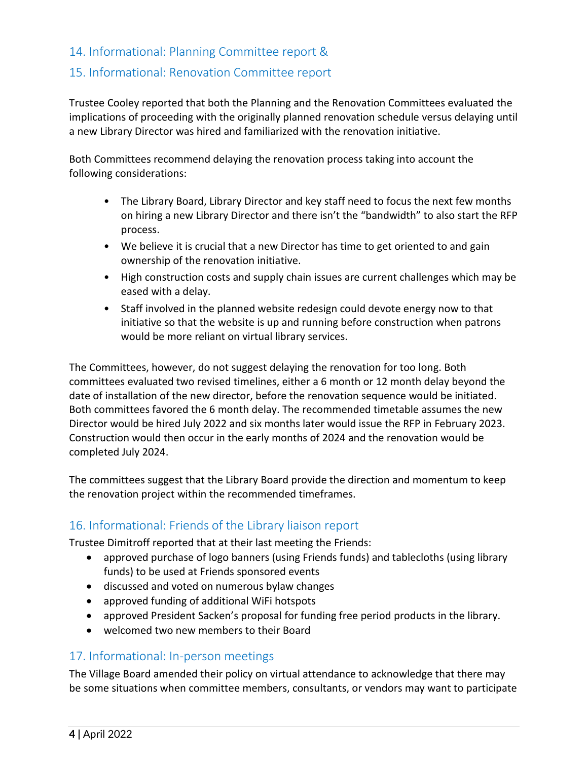## 14. Informational: Planning Committee report &

### 15. Informational: Renovation Committee report

Trustee Cooley reported that both the Planning and the Renovation Committees evaluated the implications of proceeding with the originally planned renovation schedule versus delaying until a new Library Director was hired and familiarized with the renovation initiative.

Both Committees recommend delaying the renovation process taking into account the following considerations:

- The Library Board, Library Director and key staff need to focus the next few months on hiring a new Library Director and there isn't the "bandwidth" to also start the RFP process.
- We believe it is crucial that a new Director has time to get oriented to and gain ownership of the renovation initiative.
- High construction costs and supply chain issues are current challenges which may be eased with a delay.
- Staff involved in the planned website redesign could devote energy now to that initiative so that the website is up and running before construction when patrons would be more reliant on virtual library services.

The Committees, however, do not suggest delaying the renovation for too long. Both committees evaluated two revised timelines, either a 6 month or 12 month delay beyond the date of installation of the new director, before the renovation sequence would be initiated. Both committees favored the 6 month delay. The recommended timetable assumes the new Director would be hired July 2022 and six months later would issue the RFP in February 2023. Construction would then occur in the early months of 2024 and the renovation would be completed July 2024.

The committees suggest that the Library Board provide the direction and momentum to keep the renovation project within the recommended timeframes.

#### 16. Informational: Friends of the Library liaison report

Trustee Dimitroff reported that at their last meeting the Friends:

- approved purchase of logo banners (using Friends funds) and tablecloths (using library funds) to be used at Friends sponsored events
- discussed and voted on numerous bylaw changes
- approved funding of additional WiFi hotspots
- approved President Sacken's proposal for funding free period products in the library.
- welcomed two new members to their Board

# 17. Informational: In-person meetings

The Village Board amended their policy on virtual attendance to acknowledge that there may be some situations when committee members, consultants, or vendors may want to participate